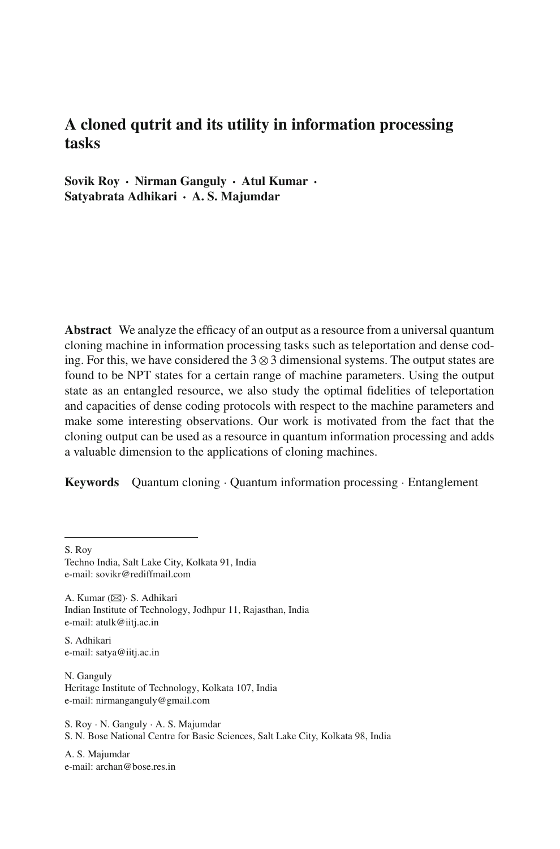# **A cloned qutrit and its utility in information processing tasks**

**Sovik Roy · Nirman Ganguly · Atul Kumar · Satyabrata Adhikari · A. S. Majumdar**

**Abstract** We analyze the efficacy of an output as a resource from a universal quantum cloning machine in information processing tasks such as teleportation and dense coding. For this, we have considered the 3 ⊗ 3 dimensional systems. The output states are found to be NPT states for a certain range of machine parameters. Using the output state as an entangled resource, we also study the optimal fidelities of teleportation and capacities of dense coding protocols with respect to the machine parameters and make some interesting observations. Our work is motivated from the fact that the cloning output can be used as a resource in quantum information processing and adds a valuable dimension to the applications of cloning machines.

**Keywords** Quantum cloning · Quantum information processing · Entanglement

S. Roy

S. Adhikari e-mail: satya@iitj.ac.in

A. S. Majumdar e-mail: archan@bose.res.in

Techno India, Salt Lake City, Kolkata 91, India e-mail: sovikr@rediffmail.com

A. Kumar (B)· S. Adhikari Indian Institute of Technology, Jodhpur 11, Rajasthan, India e-mail: atulk@iitj.ac.in

N. Ganguly Heritage Institute of Technology, Kolkata 107, India e-mail: nirmanganguly@gmail.com

S. Roy · N. Ganguly · A. S. Majumdar S. N. Bose National Centre for Basic Sciences, Salt Lake City, Kolkata 98, India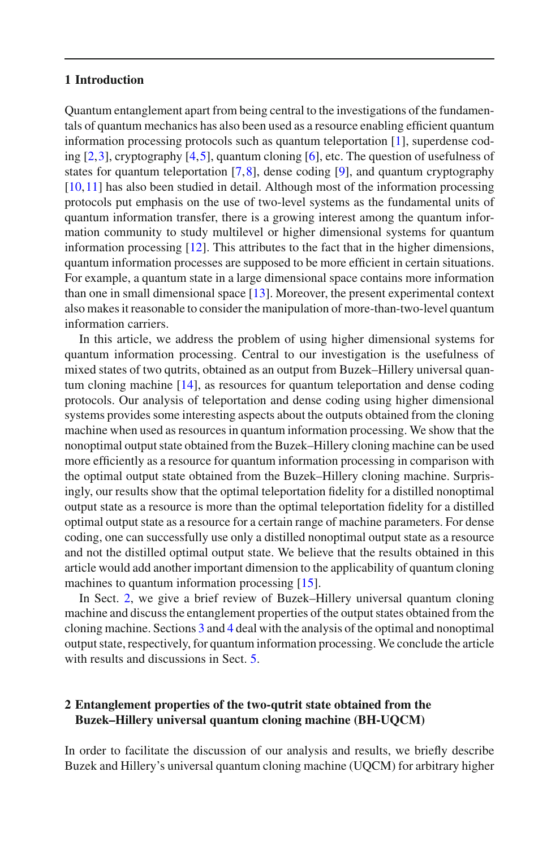### **1 Introduction**

Quantum entanglement apart from being central to the investigations of the fundamentals of quantum mechanics has also been used as a resource enabling efficient quantum information processing protocols such as quantum teleportation [\[1](#page-9-0)], superdense coding [\[2](#page-9-1)[,3](#page-9-2)], cryptography [\[4](#page-9-3)[,5](#page-9-4)], quantum cloning [\[6\]](#page-9-5), etc. The question of usefulness of states for quantum teleportation  $[7,8]$  $[7,8]$  $[7,8]$ , dense coding [\[9](#page-9-8)], and quantum cryptography [\[10](#page-9-9)[,11](#page-9-10)] has also been studied in detail. Although most of the information processing protocols put emphasis on the use of two-level systems as the fundamental units of quantum information transfer, there is a growing interest among the quantum information community to study multilevel or higher dimensional systems for quantum information processing  $[12]$ . This attributes to the fact that in the higher dimensions, quantum information processes are supposed to be more efficient in certain situations. For example, a quantum state in a large dimensional space contains more information than one in small dimensional space [\[13\]](#page-9-12). Moreover, the present experimental context also makes it reasonable to consider the manipulation of more-than-two-level quantum information carriers.

In this article, we address the problem of using higher dimensional systems for quantum information processing. Central to our investigation is the usefulness of mixed states of two qutrits, obtained as an output from Buzek–Hillery universal quantum cloning machine [\[14\]](#page-9-13), as resources for quantum teleportation and dense coding protocols. Our analysis of teleportation and dense coding using higher dimensional systems provides some interesting aspects about the outputs obtained from the cloning machine when used as resources in quantum information processing. We show that the nonoptimal output state obtained from the Buzek–Hillery cloning machine can be used more efficiently as a resource for quantum information processing in comparison with the optimal output state obtained from the Buzek–Hillery cloning machine. Surprisingly, our results show that the optimal teleportation fidelity for a distilled nonoptimal output state as a resource is more than the optimal teleportation fidelity for a distilled optimal output state as a resource for a certain range of machine parameters. For dense coding, one can successfully use only a distilled nonoptimal output state as a resource and not the distilled optimal output state. We believe that the results obtained in this article would add another important dimension to the applicability of quantum cloning machines to quantum information processing [\[15](#page-9-14)].

In Sect. [2,](#page-1-0) we give a brief review of Buzek–Hillery universal quantum cloning machine and discuss the entanglement properties of the output states obtained from the cloning machine. Sections [3](#page-3-0) and [4](#page-5-0) deal with the analysis of the optimal and nonoptimal output state, respectively, for quantum information processing. We conclude the article with results and discussions in Sect. [5.](#page-7-0)

## <span id="page-1-0"></span>**2 Entanglement properties of the two-qutrit state obtained from the Buzek–Hillery universal quantum cloning machine (BH-UQCM)**

In order to facilitate the discussion of our analysis and results, we briefly describe Buzek and Hillery's universal quantum cloning machine (UQCM) for arbitrary higher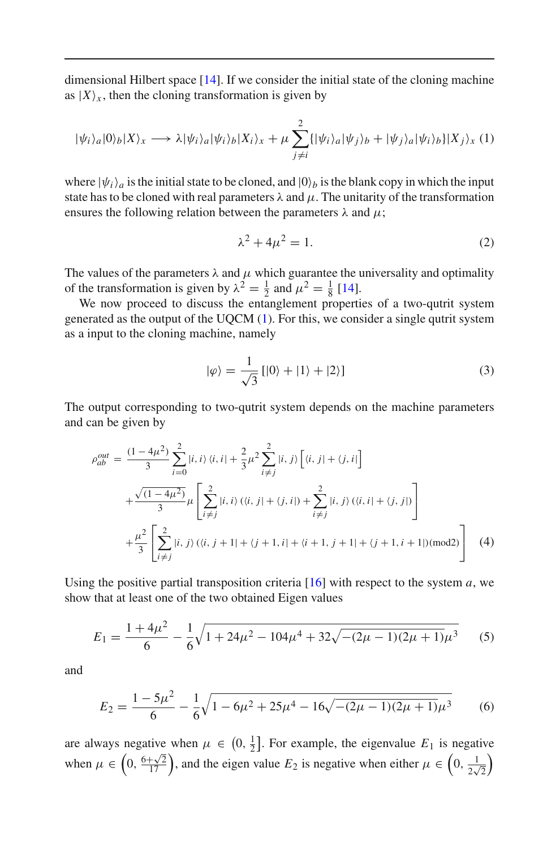dimensional Hilbert space [\[14\]](#page-9-13). If we consider the initial state of the cloning machine as  $|X\rangle_x$ , then the cloning transformation is given by

<span id="page-2-0"></span>
$$
|\psi_i\rangle_a|0\rangle_b|X\rangle_x \longrightarrow \lambda |\psi_i\rangle_a |\psi_i\rangle_b |X_i\rangle_x + \mu \sum_{j \neq i}^2 \{|\psi_i\rangle_a |\psi_j\rangle_b + |\psi_j\rangle_a |\psi_i\rangle_b\} |X_j\rangle_x (1)
$$

where  $|\psi_i\rangle_a$  is the initial state to be cloned, and  $|0\rangle_b$  is the blank copy in which the input state has to be cloned with real parameters  $\lambda$  and  $\mu$ . The unitarity of the transformation ensures the following relation between the parameters  $\lambda$  and  $\mu$ ;

$$
\lambda^2 + 4\mu^2 = 1. \tag{2}
$$

The values of the parameters  $\lambda$  and  $\mu$  which guarantee the universality and optimality of the transformation is given by  $\lambda^2 = \frac{1}{2}$  and  $\mu^2 = \frac{1}{8}$  [\[14](#page-9-13)].

We now proceed to discuss the entanglement properties of a two-qutrit system generated as the output of the UQCM [\(1\)](#page-2-0). For this, we consider a single qutrit system as a input to the cloning machine, namely

$$
|\varphi\rangle = \frac{1}{\sqrt{3}}[|0\rangle + |1\rangle + |2\rangle]
$$
 (3)

<span id="page-2-1"></span>The output corresponding to two-qutrit system depends on the machine parameters and can be given by

$$
\rho_{ab}^{out} = \frac{(1 - 4\mu^2)}{3} \sum_{i=0}^{2} |i, i\rangle \langle i, i| + \frac{2}{3}\mu^2 \sum_{i \neq j}^{2} |i, j\rangle \left[ \langle i, j| + \langle j, i| \right] + \frac{\sqrt{(1 - 4\mu^2)}}{3} \mu \left[ \sum_{i \neq j}^{2} |i, i\rangle \langle \langle i, j| + \langle j, i| \rangle + \sum_{i \neq j}^{2} |i, j\rangle \langle \langle i, i| + \langle j, j| \rangle \right] + \frac{\mu^2}{3} \left[ \sum_{i \neq j}^{2} |i, j\rangle \langle \langle i, j + 1| + \langle j + 1, i| + \langle i + 1, j + 1| + \langle j + 1, i + 1| \rangle \pmod{2} \right] \tag{4}
$$

Using the positive partial transposition criteria [\[16\]](#page-9-15) with respect to the system *a*, we show that at least one of the two obtained Eigen values

$$
E_1 = \frac{1 + 4\mu^2}{6} - \frac{1}{6}\sqrt{1 + 24\mu^2 - 104\mu^4 + 32\sqrt{-(2\mu - 1)(2\mu + 1)}\mu^3}
$$
(5)

and

$$
E_2 = \frac{1 - 5\mu^2}{6} - \frac{1}{6}\sqrt{1 - 6\mu^2 + 25\mu^4 - 16\sqrt{-(2\mu - 1)(2\mu + 1)}\mu^3}
$$
(6)

are always negative when  $\mu \in (0, \frac{1}{2}]$ . For example, the eigenvalue  $E_1$  is negative when  $\mu \in \left(0, \frac{6+\sqrt{2}}{17}\right)$ , and the eigen value  $E_2$  is negative when either  $\mu \in \left(0, \frac{1}{2\sqrt{2}}\right)$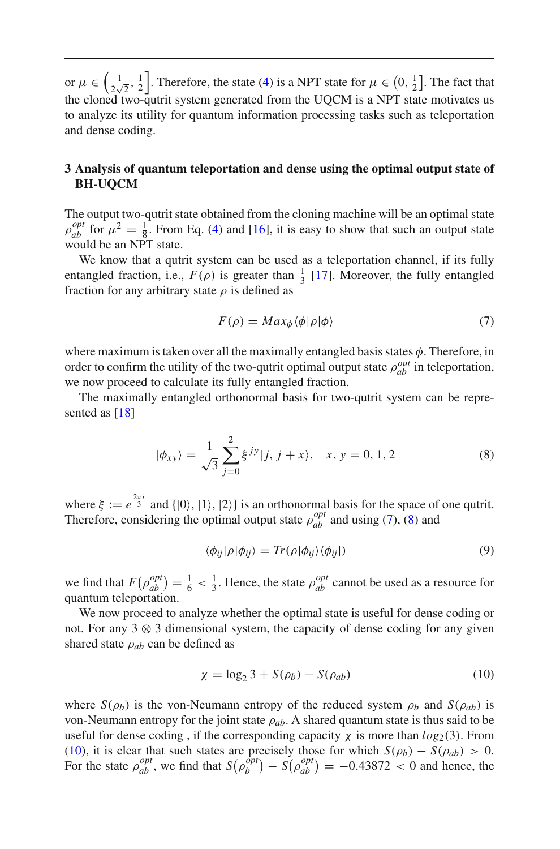or  $\mu \in \left(\frac{1}{2}\right)$  $\frac{1}{2\sqrt{2}}, \frac{1}{2}$ . Therefore, the state [\(4\)](#page-2-1) is a NPT state for  $\mu \in (0, \frac{1}{2}]$ . The fact that the cloned two-qutrit system generated from the UQCM is a NPT state motivates us to analyze its utility for quantum information processing tasks such as teleportation and dense coding.

## <span id="page-3-0"></span>**3 Analysis of quantum teleportation and dense using the optimal output state of BH-UQCM**

The output two-qutrit state obtained from the cloning machine will be an optimal state  $\rho_{ab}^{opt}$  for  $\mu^2 = \frac{1}{8}$ . From Eq. [\(4\)](#page-2-1) and [\[16](#page-9-15)], it is easy to show that such an output state would be an NPT state.

We know that a qutrit system can be used as a teleportation channel, if its fully entangled fraction, i.e.,  $F(\rho)$  is greater than  $\frac{1}{3}$  [\[17\]](#page-9-16). Moreover, the fully entangled fraction for any arbitrary state  $\rho$  is defined as

$$
F(\rho) = Max_{\phi} \langle \phi | \rho | \phi \rangle \tag{7}
$$

<span id="page-3-1"></span>where maximum is taken over all the maximally entangled basis states  $\phi$ . Therefore, in order to confirm the utility of the two-qutrit optimal output state  $\rho_{ab}^{out}$  in teleportation, we now proceed to calculate its fully entangled fraction.

The maximally entangled orthonormal basis for two-qutrit system can be repre-sented as [\[18\]](#page-9-17)

$$
|\phi_{xy}\rangle = \frac{1}{\sqrt{3}} \sum_{j=0}^{2} \xi^{jy} |j, j + x\rangle, \quad x, y = 0, 1, 2
$$
 (8)

<span id="page-3-2"></span>where  $\xi := e^{\frac{2\pi i}{3}}$  and  $\{|0\rangle, |1\rangle, |2\rangle\}$  is an orthonormal basis for the space of one qutrit. Therefore, considering the optimal output state  $\rho_{ab}^{opt}$  and using [\(7\)](#page-3-1), [\(8\)](#page-3-2) and

$$
\langle \phi_{ij} | \rho | \phi_{ij} \rangle = Tr(\rho | \phi_{ij} \rangle \langle \phi_{ij} |)
$$
\n(9)

we find that  $F(\rho_{ab}^{opt}) = \frac{1}{6} < \frac{1}{3}$ . Hence, the state  $\rho_{ab}^{opt}$  cannot be used as a resource for quantum teleportation.

We now proceed to analyze whether the optimal state is useful for dense coding or not. For any 3 ⊗ 3 dimensional system, the capacity of dense coding for any given shared state ρ*ab* can be defined as

$$
\chi = \log_2 3 + S(\rho_b) - S(\rho_{ab})\tag{10}
$$

<span id="page-3-3"></span>where  $S(\rho_b)$  is the von-Neumann entropy of the reduced system  $\rho_b$  and  $S(\rho_{ab})$  is von-Neumann entropy for the joint state  $\rho_{ab}$ . A shared quantum state is thus said to be useful for dense coding, if the corresponding capacity  $\chi$  is more than  $log_2(3)$ . From [\(10\)](#page-3-3), it is clear that such states are precisely those for which  $S(\rho_b) - S(\rho_{ab}) > 0$ . For the state  $\rho_{ab}^{opt}$ , we find that  $S(\rho_{b}^{opt}) - S(\rho_{ab}^{opt}) = -0.43872 < 0$  and hence, the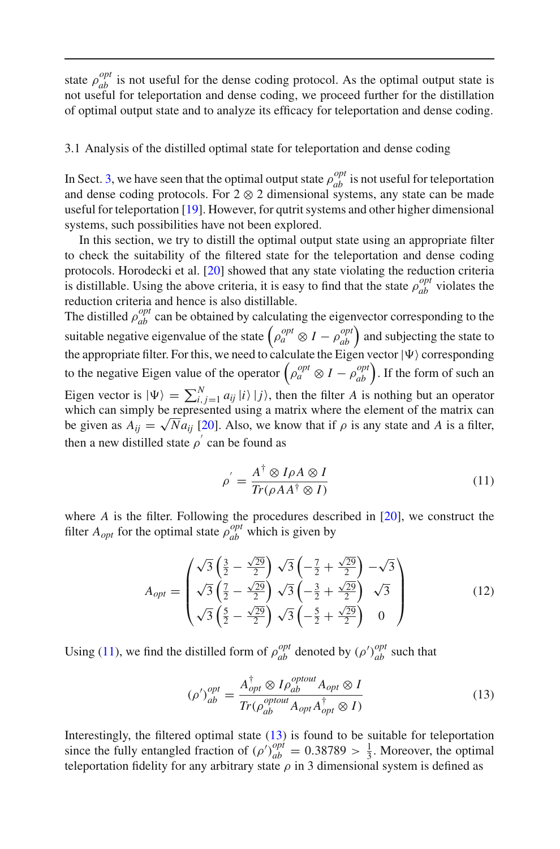state  $\rho_{ab}^{opt}$  is not useful for the dense coding protocol. As the optimal output state is not useful for teleportation and dense coding, we proceed further for the distillation of optimal output state and to analyze its efficacy for teleportation and dense coding.

#### 3.1 Analysis of the distilled optimal state for teleportation and dense coding

In Sect. [3,](#page-3-0) we have seen that the optimal output state  $\rho_{ab}^{opt}$  is not useful for teleportation and dense coding protocols. For  $2 \otimes 2$  dimensional systems, any state can be made useful for teleportation [\[19\]](#page-9-18). However, for qutrit systems and other higher dimensional systems, such possibilities have not been explored.

In this section, we try to distill the optimal output state using an appropriate filter to check the suitability of the filtered state for the teleportation and dense coding protocols. Horodecki et al. [\[20\]](#page-9-19) showed that any state violating the reduction criteria is distillable. Using the above criteria, it is easy to find that the state  $\rho_{ab}^{opt}$  violates the reduction criteria and hence is also distillable.

The distilled  $\rho_{ab}^{opt}$  can be obtained by calculating the eigenvector corresponding to the suitable negative eigenvalue of the state  $(\rho_a^{opt} \otimes I - \rho_{ab}^{opt})$  and subjecting the state to the appropriate filter. For this, we need to calculate the Eigen vector  $|\Psi\rangle$  corresponding to the negative Eigen value of the operator  $\left(\rho_a^{opt} \otimes I - \rho_{ab}^{opt}\right)$ . If the form of such an Eigen vector is  $|\Psi\rangle = \sum_{i,j=1}^{N} a_{ij} |i\rangle |j\rangle$ , then the filter *A* is nothing but an operator which can simply be represented using a matrix where the element of the matrix can be given as  $A_{ii} = \sqrt{N a_{ii}}$  [\[20](#page-9-19)]. Also, we know that if  $\rho$  is any state and A is a filter, then a new distilled state  $\rho'$  can be found as

$$
\rho' = \frac{A^{\dagger} \otimes I \rho A \otimes I}{Tr(\rho A A^{\dagger} \otimes I)} \tag{11}
$$

<span id="page-4-0"></span>where *A* is the filter. Following the procedures described in [\[20\]](#page-9-19), we construct the filter  $A_{opt}$  for the optimal state  $\rho_{ab}^{opt}$  which is given by

$$
A_{opt} = \begin{pmatrix} \sqrt{3} \left( \frac{3}{2} - \frac{\sqrt{29}}{2} \right) \sqrt{3} \left( -\frac{7}{2} + \frac{\sqrt{29}}{2} \right) -\sqrt{3} \\ \sqrt{3} \left( \frac{7}{2} - \frac{\sqrt{29}}{2} \right) \sqrt{3} \left( -\frac{3}{2} + \frac{\sqrt{29}}{2} \right) \sqrt{3} \\ \sqrt{3} \left( \frac{5}{2} - \frac{\sqrt{29}}{2} \right) \sqrt{3} \left( -\frac{5}{2} + \frac{\sqrt{29}}{2} \right) \quad 0 \end{pmatrix}
$$
(12)

Using [\(11\)](#page-4-0), we find the distilled form of  $\rho_{ab}^{opt}$  denoted by  $(\rho')_{ab}^{opt}$  such that

$$
(\rho')_{ab}^{opt} = \frac{A_{opt}^{\dagger} \otimes I \rho_{ab}^{optout} A_{opt} \otimes I}{Tr(\rho_{ab}^{optout} A_{opt} A_{opt}^{\dagger} \otimes I)}
$$
(13)

<span id="page-4-1"></span>Interestingly, the filtered optimal state [\(13\)](#page-4-1) is found to be suitable for teleportation since the fully entangled fraction of  $(\rho')_{ab}^{opt} = 0.38789 > \frac{1}{3}$ . Moreover, the optimal teleportation fidelity for any arbitrary state  $\rho$  in 3 dimensional system is defined as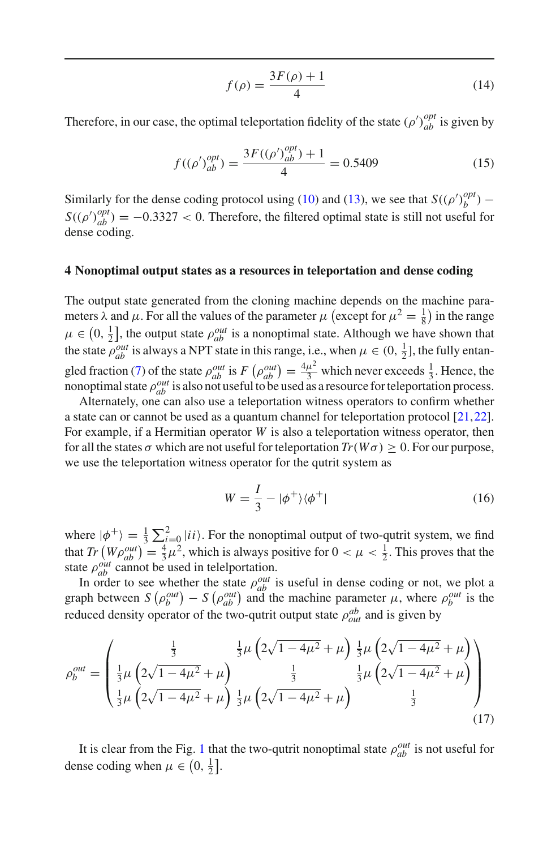$$
f(\rho) = \frac{3F(\rho) + 1}{4}
$$
 (14)

Therefore, in our case, the optimal teleportation fidelity of the state  $(\rho')_{ab}^{opt}$  is given by

$$
f((\rho')^{opt}_{ab}) = \frac{3F((\rho')^{opt}_{ab}) + 1}{4} = 0.5409
$$
 (15)

Similarly for the dense coding protocol using [\(10\)](#page-3-3) and [\(13\)](#page-4-1), we see that  $S((\rho')_b^{opt})$  –  $S((\rho')_{ab}^{opt}) = -0.3327 < 0$ . Therefore, the filtered optimal state is still not useful for dense coding.

#### <span id="page-5-0"></span>**4 Nonoptimal output states as a resources in teleportation and dense coding**

The output state generated from the cloning machine depends on the machine parameters  $\lambda$  and  $\mu$ . For all the values of the parameter  $\mu$  (except for  $\mu^2 = \frac{1}{8}$ ) in the range  $\mu \in \left(0, \frac{1}{2}\right]$ , the output state  $\rho_{ab}^{out}$  is a nonoptimal state. Although we have shown that the state  $\rho_{ab}^{out}$  is always a NPT state in this range, i.e., when  $\mu \in (0, \frac{1}{2}]$ , the fully entan-gled fraction [\(7\)](#page-3-1) of the state  $\rho_{ab}^{out}$  is  $F\left(\rho_{ab}^{out}\right) = \frac{4\mu^2}{3}$  which never exceeds  $\frac{1}{3}$ . Hence, the nonoptimal state  $\rho_{ab}^{out}$  is also not useful to be used as a resource for teleportation process.

Alternately, one can also use a teleportation witness operators to confirm whether a state can or cannot be used as a quantum channel for teleportation protocol [\[21](#page-9-20)[,22](#page-9-21)]. For example, if a Hermitian operator *W* is also a teleportation witness operator, then for all the states  $\sigma$  which are not useful for teleportation  $Tr(W\sigma) \geq 0$ . For our purpose, we use the teleportation witness operator for the qutrit system as

$$
W = \frac{I}{3} - |\phi^+\rangle\langle\phi^+|\tag{16}
$$

<span id="page-5-1"></span>where  $|\phi^{+}\rangle = \frac{1}{3} \sum_{i=0}^{2} |ii\rangle$ . For the nonoptimal output of two-qutrit system, we find that  $Tr (W \rho_{ab}^{out}) = \frac{4}{3} \mu^2$ , which is always positive for  $0 < \mu < \frac{1}{2}$ . This proves that the state  $\rho_{ab}^{\text{out}}$  cannot be used in telelportation.

In order to see whether the state  $\rho_{ab}^{out}$  is useful in dense coding or not, we plot a graph between  $S(\rho_b^{out}) - S(\rho_{ab}^{out})$  and the machine parameter  $\mu$ , where  $\rho_b^{out}$  is the reduced density operator of the two-qutrit output state  $\rho_{out}^{ab}$  and is given by

$$
\rho_b^{out} = \begin{pmatrix} \frac{1}{3} & \frac{1}{3}\mu \left(2\sqrt{1 - 4\mu^2} + \mu\right) & \frac{1}{3}\mu \left(2\sqrt{1 - 4\mu^2} + \mu\right) \\ \frac{1}{3}\mu \left(2\sqrt{1 - 4\mu^2} + \mu\right) & \frac{1}{3} & \frac{1}{3}\mu \left(2\sqrt{1 - 4\mu^2} + \mu\right) \\ \frac{1}{3}\mu \left(2\sqrt{1 - 4\mu^2} + \mu\right) & \frac{1}{3}\mu \left(2\sqrt{1 - 4\mu^2} + \mu\right) & \frac{1}{3} \end{pmatrix}
$$
\n(17)

It is clear from the Fig. [1](#page-6-0) that the two-qutrit nonoptimal state  $\rho_{ab}^{out}$  is not useful for dense coding when  $\mu \in \left(0, \frac{1}{2}\right]$ .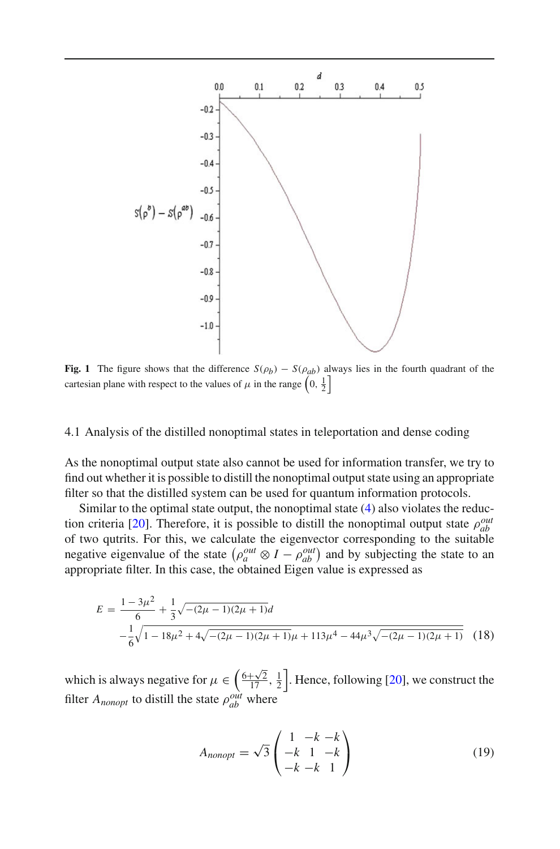

<span id="page-6-0"></span>**Fig. 1** The figure shows that the difference  $S(\rho_b) - S(\rho_{ab})$  always lies in the fourth quadrant of the cartesian plane with respect to the values of  $\mu$  in the range  $\left(0, \frac{1}{2}\right)$ 

#### 4.1 Analysis of the distilled nonoptimal states in teleportation and dense coding

As the nonoptimal output state also cannot be used for information transfer, we try to find out whether it is possible to distill the nonoptimal output state using an appropriate filter so that the distilled system can be used for quantum information protocols.

Similar to the optimal state output, the nonoptimal state [\(4\)](#page-2-1) also violates the reduc-tion criteria [\[20\]](#page-9-19). Therefore, it is possible to distill the nonoptimal output state  $\rho_{ab}^{out}$ of two qutrits. For this, we calculate the eigenvector corresponding to the suitable negative eigenvalue of the state  $(\rho_a^{out} \otimes I - \rho_{ab}^{out})$  and by subjecting the state to an appropriate filter. In this case, the obtained Eigen value is expressed as

$$
E = \frac{1 - 3\mu^2}{6} + \frac{1}{3}\sqrt{-(2\mu - 1)(2\mu + 1)}d
$$
  

$$
-\frac{1}{6}\sqrt{1 - 18\mu^2 + 4\sqrt{-(2\mu - 1)(2\mu + 1)}\mu + 113\mu^4 - 44\mu^3\sqrt{-(2\mu - 1)(2\mu + 1)}} \quad (18)
$$

which is always negative for  $\mu \in \left(\frac{6+\sqrt{2}}{17}, \frac{1}{2}\right]$ . Hence, following [\[20\]](#page-9-19), we construct the filter  $A_{nonopt}$  to distill the state  $\rho_{ab}^{out}$  where

$$
A_{nonopt} = \sqrt{3} \begin{pmatrix} 1 & -k & -k \\ -k & 1 & -k \\ -k & -k & 1 \end{pmatrix} \tag{19}
$$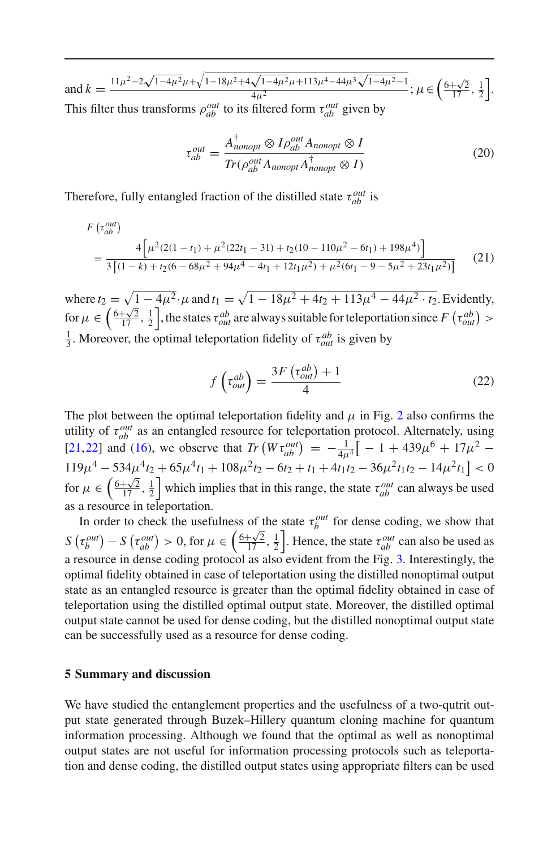and 
$$
k = \frac{11\mu^2 - 2\sqrt{1 - 4\mu^2}\mu + \sqrt{1 - 18\mu^2 + 4\sqrt{1 - 4\mu^2}\mu + 113\mu^4 - 44\mu^3\sqrt{1 - 4\mu^2} - 1}}{4\mu^2}
$$
;  $\mu \in \left(\frac{6 + \sqrt{2}}{17}, \frac{1}{2}\right]$ .  
This filter thus transforms  $\rho_{ab}^{out}$  to its filtered form  $\tau_{ab}^{out}$  given by

$$
\tau_{ab}^{out} = \frac{A_{nonopt}^{\dagger} \otimes I \rho_{ab}^{out} A_{nonopt} \otimes I}{Tr(\rho_{ab}^{out} A_{nonopt} A_{nonopt}^{\dagger} \otimes I)}
$$
(20)

Therefore, fully entangled fraction of the distilled state  $\tau_{ab}^{out}$  is

$$
F\left(\tau_{ab}^{out}\right)
$$
\n
$$
= \frac{4\left[\mu^2(2(1-t_1)+\mu^2(22t_1-31)+t_2(10-110\mu^2-6t_1)+198\mu^4)\right]}{3\left[(1-k)+t_2(6-68\mu^2+94\mu^4-4t_1+12t_1\mu^2)+\mu^2(6t_1-9-5\mu^2+23t_1\mu^2)\right]}
$$
\n(21)

where  $t_2 = \sqrt{1 - 4\mu^2} \cdot \mu$  and  $t_1 = \sqrt{1 - 18\mu^2 + 4t_2 + 113\mu^4 - 44\mu^2 \cdot t_2}$ . Evidently, for  $\mu \in \left(\frac{6+\sqrt{2}}{17}, \frac{1}{2}\right]$ , the states  $\tau_{out}^{ab}$  are always suitable for teleportation since  $F\left(\tau_{out}^{ab}\right)$  >  $\frac{1}{3}$ . Moreover, the optimal teleportation fidelity of  $\tau_{out}^{ab}$  is given by

$$
f\left(\tau_{out}^{ab}\right) = \frac{3F\left(\tau_{out}^{ab}\right) + 1}{4} \tag{22}
$$

The plot between the optimal teleportation fidelity and  $\mu$  in Fig. [2](#page-8-0) also confirms the utility of  $\tau_{ab}^{out}$  as an entangled resource for teleportation protocol. Alternately, using [\[21](#page-9-20)[,22](#page-9-21)] and [\(16\)](#page-5-1), we observe that  $Tr(W \tau_{ab}^{out}) = -\frac{1}{4\mu^4} \left[ -1 + 439\mu^6 + 17\mu^2 - \frac{1}{2}\mu^2 \right]$  $119\mu^4 - 534\mu^4 t_2 + 65\mu^4 t_1 + 108\mu^2 t_2 - 6t_2 + t_1 + 4t_1t_2 - 36\mu^2 t_1 t_2 - 14\mu^2 t_1$ ] < 0 for  $\mu \in \left(\frac{6+\sqrt{2}}{17}, \frac{1}{2}\right]$  which implies that in this range, the state  $\tau_{ab}^{out}$  can always be used as a resource in teleportation.

In order to check the usefulness of the state  $\tau_b^{out}$  for dense coding, we show that  $S(\tau_b^{out}) - S(\tau_{ab}^{out}) > 0$ , for  $\mu \in \left(\frac{6+\sqrt{2}}{17}, \frac{1}{2}\right]$ . Hence, the state  $\tau_{ab}^{out}$  can also be used as a resource in dense coding protocol as also evident from the Fig. [3.](#page-8-1) Interestingly, the optimal fidelity obtained in case of teleportation using the distilled nonoptimal output state as an entangled resource is greater than the optimal fidelity obtained in case of teleportation using the distilled optimal output state. Moreover, the distilled optimal output state cannot be used for dense coding, but the distilled nonoptimal output state can be successfully used as a resource for dense coding.

### <span id="page-7-0"></span>**5 Summary and discussion**

We have studied the entanglement properties and the usefulness of a two-qutrit output state generated through Buzek–Hillery quantum cloning machine for quantum information processing. Although we found that the optimal as well as nonoptimal output states are not useful for information processing protocols such as teleportation and dense coding, the distilled output states using appropriate filters can be used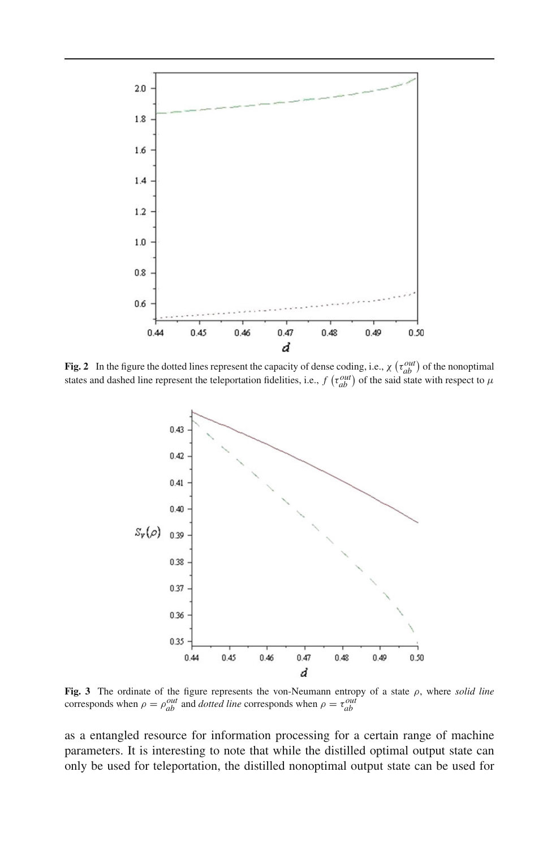

<span id="page-8-0"></span>**Fig. 2** In the figure the dotted lines represent the capacity of dense coding, i.e.,  $\chi\left(\tau_{ab}^{out}\right)$  of the nonoptimal states and dashed line represent the teleportation fidelities, i.e.,  $f(t_{ab}^{out})$  of the said state with respect to  $\mu$ 



<span id="page-8-1"></span>**Fig. 3** The ordinate of the figure represents the von-Neumann entropy of a state  $\rho$ , where *solid line* corresponds when  $\rho = \rho_{ab}^{out}$  and *dotted line* corresponds when  $\rho = \tau_{ab}^{out}$ 

as a entangled resource for information processing for a certain range of machine parameters. It is interesting to note that while the distilled optimal output state can only be used for teleportation, the distilled nonoptimal output state can be used for